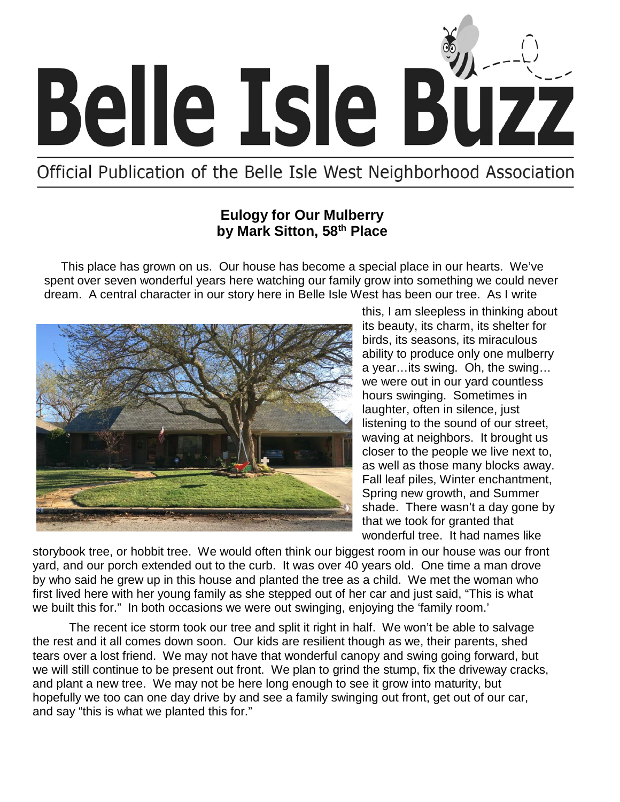

Official Publication of the Belle Isle West Neighborhood Association

#### **Eulogy for Our Mulberry by Mark Sitton, 58th Place**

 This place has grown on us. Our house has become a special place in our hearts. We've spent over seven wonderful years here watching our family grow into something we could never dream. A central character in our story here in Belle Isle West has been our tree. As I write



this, I am sleepless in thinking about its beauty, its charm, its shelter for birds, its seasons, its miraculous ability to produce only one mulberry a year…its swing. Oh, the swing… we were out in our yard countless hours swinging. Sometimes in laughter, often in silence, just listening to the sound of our street, waving at neighbors. It brought us closer to the people we live next to, as well as those many blocks away. Fall leaf piles, Winter enchantment, Spring new growth, and Summer shade. There wasn't a day gone by that we took for granted that wonderful tree. It had names like

storybook tree, or hobbit tree. We would often think our biggest room in our house was our front yard, and our porch extended out to the curb. It was over 40 years old. One time a man drove by who said he grew up in this house and planted the tree as a child. We met the woman who first lived here with her young family as she stepped out of her car and just said, "This is what we built this for." In both occasions we were out swinging, enjoying the 'family room.'

The recent ice storm took our tree and split it right in half. We won't be able to salvage the rest and it all comes down soon. Our kids are resilient though as we, their parents, shed tears over a lost friend. We may not have that wonderful canopy and swing going forward, but we will still continue to be present out front. We plan to grind the stump, fix the driveway cracks, and plant a new tree. We may not be here long enough to see it grow into maturity, but hopefully we too can one day drive by and see a family swinging out front, get out of our car, and say "this is what we planted this for."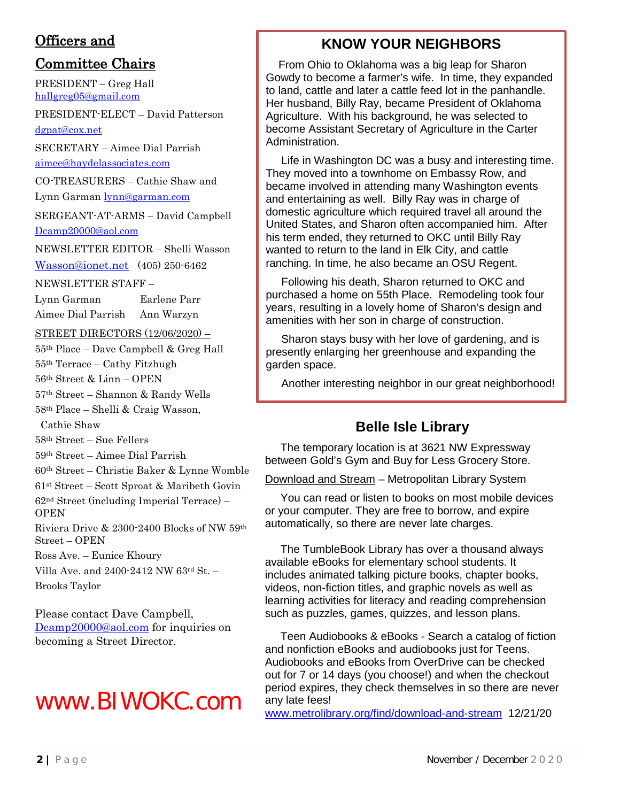### Officers and

### Committee Chairs

PRESIDENT – Greg Hall hallgreg05@gmail.com

PRESIDENT-ELECT – David Patterson [dgpat@cox.net](mailto:dgpat@cox.net)

SECRETARY – Aimee Dial Parrish [aimee@haydelassociates.com](mailto:aimee@haydelassociates.com)

CO-TREASURERS – Cathie Shaw and

Lynn Garman [lynn@garman.com](mailto:lynn@garman.com)

SERGEANT-AT-ARMS – David Campbell [Dcamp20000@aol.com](mailto:Dcamp20000@aol.com)

NEWSLETTER EDITOR – Shelli Wasson [Wasson@ionet.net](mailto:Wasson@ionet.net) (405) 250-6462

NEWSLETTER STAFF –

Lynn Garman Earlene Parr Aimee Dial Parrish Ann Warzyn

STREET DIRECTORS (12/06/2020) –

55th Place – Dave Campbell & Greg Hall

55th Terrace – Cathy Fitzhugh

56th Street & Linn – OPEN

57th Street – Shannon & Randy Wells

58th Place – Shelli & Craig Wasson,

Cathie Shaw

58th Street – Sue Fellers

59th Street – Aimee Dial Parrish

60th Street – Christie Baker & Lynne Womble

61st Street – Scott Sproat & Maribeth Govin

62nd Street (including Imperial Terrace) – **OPEN** 

Riviera Drive & 2300-2400 Blocks of NW 59th Street – OPEN

Ross Ave. – Eunice Khoury

Villa Ave. and 2400-2412 NW 63rd St. – Brooks Taylor

Please contact Dave Campbell, [Dcamp20000@aol.com](mailto:Dcamp20000@aol.com) for inquiries on becoming a Street Director.

# www.BIWOKC.com

# **KNOW YOUR NEIGHBORS**

 From Ohio to Oklahoma was a big leap for Sharon Gowdy to become a farmer's wife. In time, they expanded to land, cattle and later a cattle feed lot in the panhandle. Her husband, Billy Ray, became President of Oklahoma Agriculture. With his background, he was selected to become Assistant Secretary of Agriculture in the Carter Administration.

 Life in Washington DC was a busy and interesting time. They moved into a townhome on Embassy Row, and became involved in attending many Washington events and entertaining as well. Billy Ray was in charge of domestic agriculture which required travel all around the United States, and Sharon often accompanied him. After his term ended, they returned to OKC until Billy Ray wanted to return to the land in Elk City, and cattle ranching. In time, he also became an OSU Regent.

 Following his death, Sharon returned to OKC and purchased a home on 55th Place. Remodeling took four years, resulting in a lovely home of Sharon's design and amenities with her son in charge of construction.

 Sharon stays busy with her love of gardening, and is presently enlarging her greenhouse and expanding the garden space.

Another interesting neighbor in our great neighborhood!

# **Belle Isle Library**

 The temporary location is at 3621 NW Expressway between Gold's Gym and Buy for Less Grocery Store.

Download and Stream – Metropolitan Library System

 You can read or listen to books on most mobile devices or your computer. They are free to borrow, and expire automatically, so there are never late charges.

 The TumbleBook Library has over a thousand always available eBooks for elementary school students. It includes animated talking picture books, chapter books, videos, non-fiction titles, and graphic novels as well as learning activities for literacy and reading comprehension such as puzzles, games, quizzes, and lesson plans.

 Teen Audiobooks & eBooks - Search a catalog of fiction and nonfiction eBooks and audiobooks just for Teens. Audiobooks and eBooks from OverDrive can be checked out for 7 or 14 days (you choose!) and when the checkout period expires, they check themselves in so there are never any late fees!

[www.metrolibrary.org/find/download-and-stream](http://www.metrolibrary.org/find/download-and-stream) 12/21/20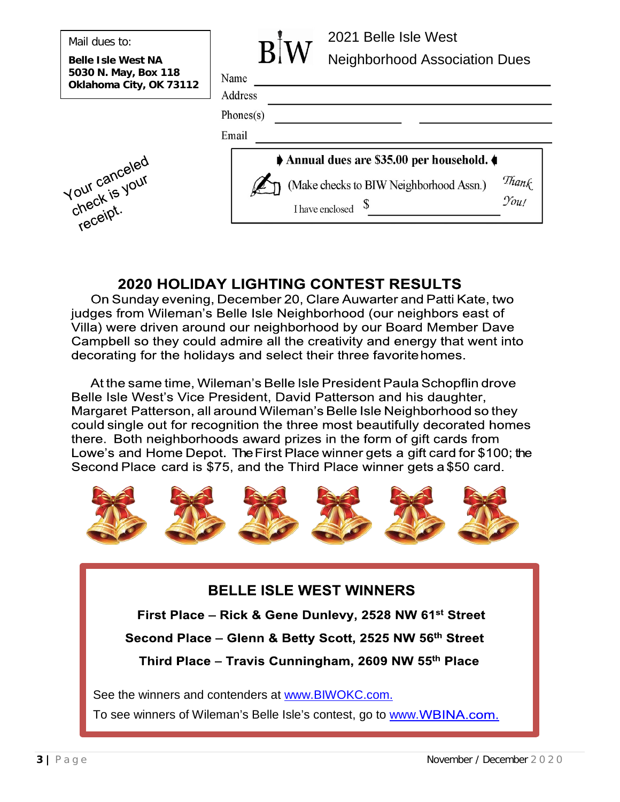Mail dues to:

**Belle Isle West NA 5030 N. May, Box 118 Oklahoma City, OK 73112**



|   | $\bf W$<br>V |
|---|--------------|
| J |              |

Name Address

 $Phones(s)$ 

Email



<u> 1980 - Johann Barbara, martxa alemaniar a</u>

# **2020 HOLIDAY LIGHTING CONTEST RESULTS**

On Sunday evening, December 20, Clare Auwarter and Patti Kate, two judges from Wileman's Belle Isle Neighborhood (our neighbors east of Villa) were driven around our neighborhood by our Board Member Dave Campbell so they could admire all the creativity and energy that went into decorating for the holidays and select their three favorite homes.

At the same time, Wileman's Belle Isle President Paula Schopflin drove Belle Isle West's Vice President, David Patterson and his daughter, Margaret Patterson, all around Wileman's Belle Isle Neighborhood so they could single out for recognition the three most beautifully decorated homes there. Both neighborhoods award prizes in the form of gift cards from Lowe's and Home Depot. The First Place winner gets a gift card for \$100; the Second Place card is \$75, and the Third Place winner gets a \$50 card.



# **BELLE ISLE WEST WINNERS**

First Place - Rick & Gene Dunlevy, 2528 NW 61<sup>st</sup> Street

Second Place - Glenn & Betty Scott, 2525 NW 56th Street

Third Place - Travis Cunningham, 2609 NW 55th Place

See the winners and contenders at [www.BIWOKC.com.](http://www.biwokc.com/)

To see winners of Wileman's Belle Isle's contest, go to [www.](http://www.wbina.com/)WBINA.com.